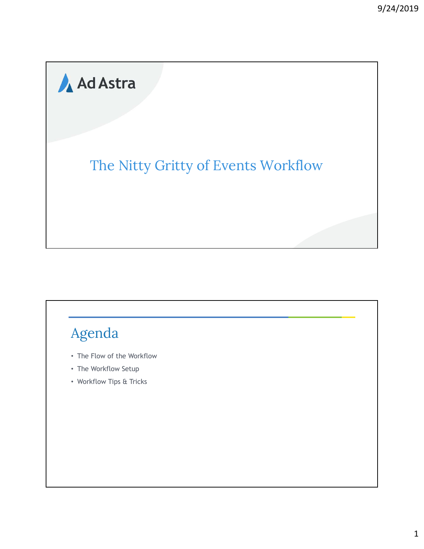# Ad Astra

### The Nitty Gritty of Events Workflow

## Agenda

- The Flow of the Workflow
- The Workflow Setup
- Workflow Tips & Tricks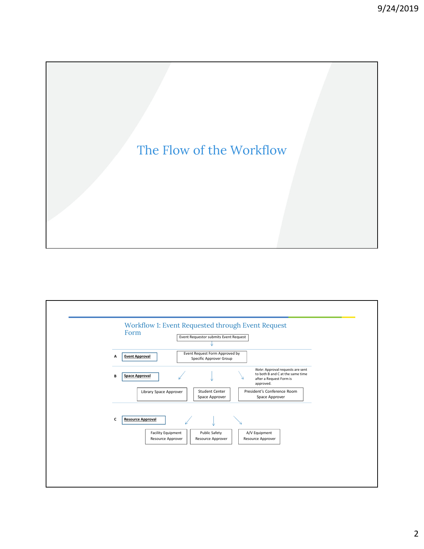

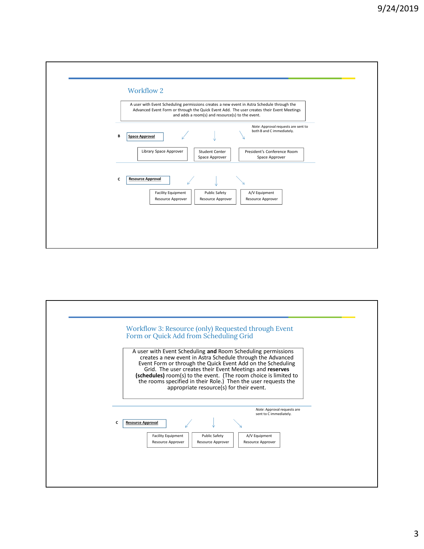

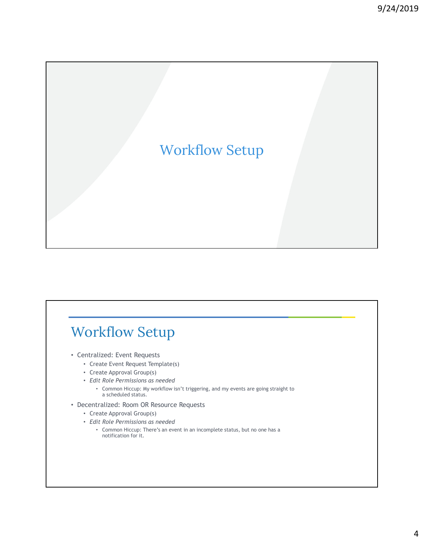# Workflow Setup

### Workflow Setup

- Centralized: Event Requests
	- Create Event Request Template(s)
	- Create Approval Group(s)
	- Edit Role Permissions as needed
		- Common Hiccup: My workflow isn't triggering, and my events are going straight to a scheduled status.
- Decentralized: Room OR Resource Requests
	- Create Approval Group(s)
	- Edit Role Permissions as needed
		- Common Hiccup: There's an event in an incomplete status, but no one has a notification for it.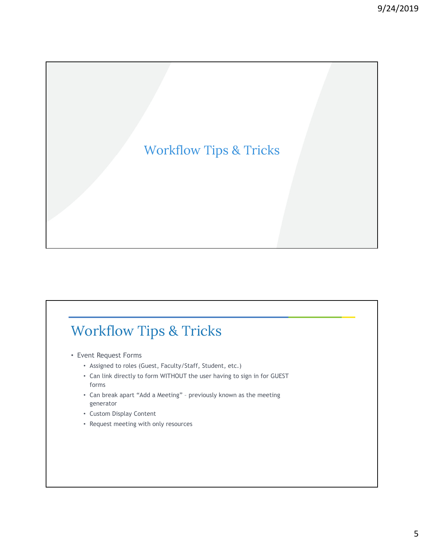### Workflow Tips & Tricks

# Workflow Tips & Tricks

- Event Request Forms
	- Assigned to roles (Guest, Faculty/Staff, Student, etc.)
- Can link directly to form WITHOUT the user having to sign in for GUEST forms Figure 1<br>• Can break apart Can break apart "Add a Meeting" – previously known as the meeting<br>• Can link directly to form WITHOUT the user having to sign in for GUEST<br>• Can link directly to form WITHOUT the user having to s
	- generator
	- Custom Display Content
	- Request meeting with only resources